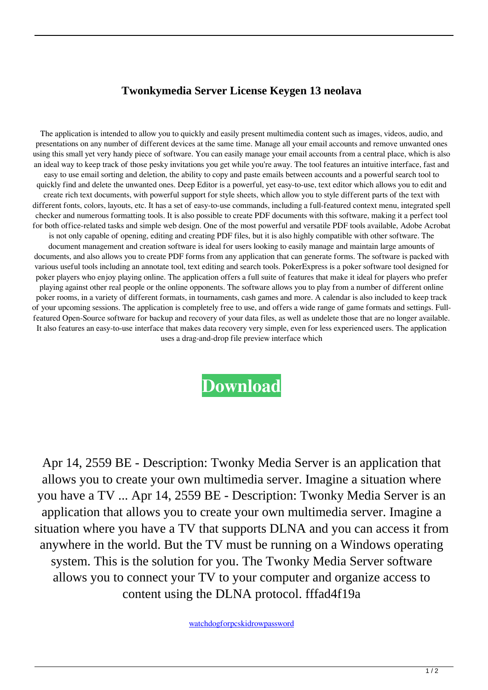## **Twonkymedia Server License Keygen 13 neolava**

The application is intended to allow you to quickly and easily present multimedia content such as images, videos, audio, and presentations on any number of different devices at the same time. Manage all your email accounts and remove unwanted ones using this small yet very handy piece of software. You can easily manage your email accounts from a central place, which is also an ideal way to keep track of those pesky invitations you get while you're away. The tool features an intuitive interface, fast and easy to use email sorting and deletion, the ability to copy and paste emails between accounts and a powerful search tool to quickly find and delete the unwanted ones. Deep Editor is a powerful, yet easy-to-use, text editor which allows you to edit and create rich text documents, with powerful support for style sheets, which allow you to style different parts of the text with different fonts, colors, layouts, etc. It has a set of easy-to-use commands, including a full-featured context menu, integrated spell checker and numerous formatting tools. It is also possible to create PDF documents with this software, making it a perfect tool for both office-related tasks and simple web design. One of the most powerful and versatile PDF tools available, Adobe Acrobat is not only capable of opening, editing and creating PDF files, but it is also highly compatible with other software. The document management and creation software is ideal for users looking to easily manage and maintain large amounts of documents, and also allows you to create PDF forms from any application that can generate forms. The software is packed with various useful tools including an annotate tool, text editing and search tools. PokerExpress is a poker software tool designed for poker players who enjoy playing online. The application offers a full suite of features that make it ideal for players who prefer playing against other real people or the online opponents. The software allows you to play from a number of different online poker rooms, in a variety of different formats, in tournaments, cash games and more. A calendar is also included to keep track of your upcoming sessions. The application is completely free to use, and offers a wide range of game formats and settings. Fullfeatured Open-Source software for backup and recovery of your data files, as well as undelete those that are no longer available. It also features an easy-to-use interface that makes data recovery very simple, even for less experienced users. The application uses a drag-and-drop file preview interface which

## **[Download](http://evacdir.com/commandant?invertebrates=crispus.VHdvbmt5bWVkaWEgU2VydmVyIExpY2Vuc2UgS2V5Z2VuIDEzVHd.floorings&jack=biomanufacturing&thwart=ZG93bmxvYWR8ZDJGTVROcU9IeDhNVFkxTWpRMk16QTFNSHg4TWpVM05IeDhLRTBwSUhKbFlXUXRZbXh2WnlCYlJtRnpkQ0JIUlU1ZA)**

Apr 14, 2559 BE - Description: Twonky Media Server is an application that allows you to create your own multimedia server. Imagine a situation where you have a TV ... Apr 14, 2559 BE - Description: Twonky Media Server is an application that allows you to create your own multimedia server. Imagine a situation where you have a TV that supports DLNA and you can access it from anywhere in the world. But the TV must be running on a Windows operating system. This is the solution for you. The Twonky Media Server software allows you to connect your TV to your computer and organize access to content using the DLNA protocol. fffad4f19a

[watchdogforpcskidrowpassword](https://www.sertani.com/upload/files/2022/05/WWWOs6IO25O6cutAj6Gx_13_382968d08c266a37846a6d03799dda3f_file.pdf)